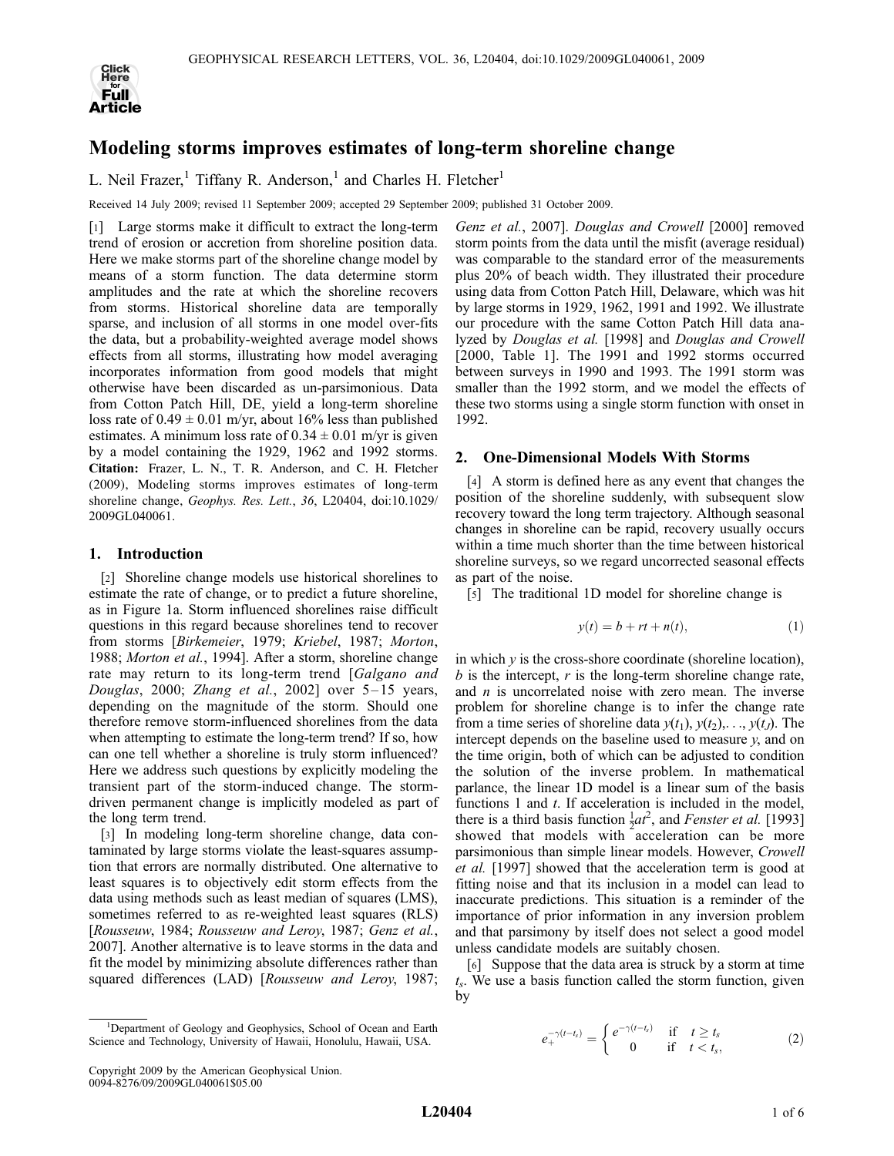

# Modeling storms improves estimates of long-term shoreline change

L. Neil Frazer,<sup>1</sup> Tiffany R. Anderson,<sup>1</sup> and Charles H. Fletcher<sup>1</sup>

Received 14 July 2009; revised 11 September 2009; accepted 29 September 2009; published 31 October 2009.

[1] Large storms make it difficult to extract the long-term trend of erosion or accretion from shoreline position data. Here we make storms part of the shoreline change model by means of a storm function. The data determine storm amplitudes and the rate at which the shoreline recovers from storms. Historical shoreline data are temporally sparse, and inclusion of all storms in one model over-fits the data, but a probability-weighted average model shows effects from all storms, illustrating how model averaging incorporates information from good models that might otherwise have been discarded as un-parsimonious. Data from Cotton Patch Hill, DE, yield a long-term shoreline loss rate of  $0.49 \pm 0.01$  m/yr, about 16% less than published estimates. A minimum loss rate of  $0.34 \pm 0.01$  m/yr is given by a model containing the 1929, 1962 and 1992 storms. Citation: Frazer, L. N., T. R. Anderson, and C. H. Fletcher (2009), Modeling storms improves estimates of long-term shoreline change, Geophys. Res. Lett., 36, L20404, doi:10.1029/ 2009GL040061.

# 1. Introduction

[2] Shoreline change models use historical shorelines to estimate the rate of change, or to predict a future shoreline, as in Figure 1a. Storm influenced shorelines raise difficult questions in this regard because shorelines tend to recover from storms [Birkemeier, 1979; Kriebel, 1987; Morton, 1988; Morton et al., 1994]. After a storm, shoreline change rate may return to its long-term trend [Galgano and Douglas, 2000; Zhang et al., 2002] over  $5-15$  years, depending on the magnitude of the storm. Should one therefore remove storm-influenced shorelines from the data when attempting to estimate the long-term trend? If so, how can one tell whether a shoreline is truly storm influenced? Here we address such questions by explicitly modeling the transient part of the storm-induced change. The stormdriven permanent change is implicitly modeled as part of the long term trend.

[3] In modeling long-term shoreline change, data contaminated by large storms violate the least-squares assumption that errors are normally distributed. One alternative to least squares is to objectively edit storm effects from the data using methods such as least median of squares (LMS), sometimes referred to as re-weighted least squares (RLS) [Rousseuw, 1984; Rousseuw and Leroy, 1987; Genz et al., 2007]. Another alternative is to leave storms in the data and fit the model by minimizing absolute differences rather than squared differences (LAD) [Rousseuw and Leroy, 1987;

Genz et al., 2007]. Douglas and Crowell [2000] removed storm points from the data until the misfit (average residual) was comparable to the standard error of the measurements plus 20% of beach width. They illustrated their procedure using data from Cotton Patch Hill, Delaware, which was hit by large storms in 1929, 1962, 1991 and 1992. We illustrate our procedure with the same Cotton Patch Hill data analyzed by Douglas et al. [1998] and Douglas and Crowell [2000, Table 1]. The 1991 and 1992 storms occurred between surveys in 1990 and 1993. The 1991 storm was smaller than the 1992 storm, and we model the effects of these two storms using a single storm function with onset in 1992.

# 2. One-Dimensional Models With Storms

[4] A storm is defined here as any event that changes the position of the shoreline suddenly, with subsequent slow recovery toward the long term trajectory. Although seasonal changes in shoreline can be rapid, recovery usually occurs within a time much shorter than the time between historical shoreline surveys, so we regard uncorrected seasonal effects as part of the noise.

[5] The traditional 1D model for shoreline change is

$$
y(t) = b + rt + n(t),
$$
\n(1)

in which  $y$  is the cross-shore coordinate (shoreline location),  $b$  is the intercept,  $r$  is the long-term shoreline change rate, and  $n$  is uncorrelated noise with zero mean. The inverse problem for shoreline change is to infer the change rate from a time series of shoreline data  $y(t_1)$ ,  $y(t_2)$ ,...,  $y(t_j)$ . The intercept depends on the baseline used to measure  $y$ , and on the time origin, both of which can be adjusted to condition the solution of the inverse problem. In mathematical parlance, the linear 1D model is a linear sum of the basis functions 1 and  $t$ . If acceleration is included in the model, there is a third basis function  $\frac{1}{2}at^2$ , and *Fenster et al.* [1993] showed that models with acceleration can be more parsimonious than simple linear models. However, Crowell et al. [1997] showed that the acceleration term is good at fitting noise and that its inclusion in a model can lead to inaccurate predictions. This situation is a reminder of the importance of prior information in any inversion problem and that parsimony by itself does not select a good model unless candidate models are suitably chosen.

[6] Suppose that the data area is struck by a storm at time  $t<sub>s</sub>$ . We use a basis function called the storm function, given by

$$
e_{+}^{-\gamma(t-t_s)} = \begin{cases} e^{-\gamma(t-t_s)} & \text{if } t \ge t_s \\ 0 & \text{if } t < t_s, \end{cases} \tag{2}
$$

<sup>&</sup>lt;sup>1</sup>Department of Geology and Geophysics, School of Ocean and Earth Science and Technology, University of Hawaii, Honolulu, Hawaii, USA.

Copyright 2009 by the American Geophysical Union. 0094-8276/09/2009GL040061\$05.00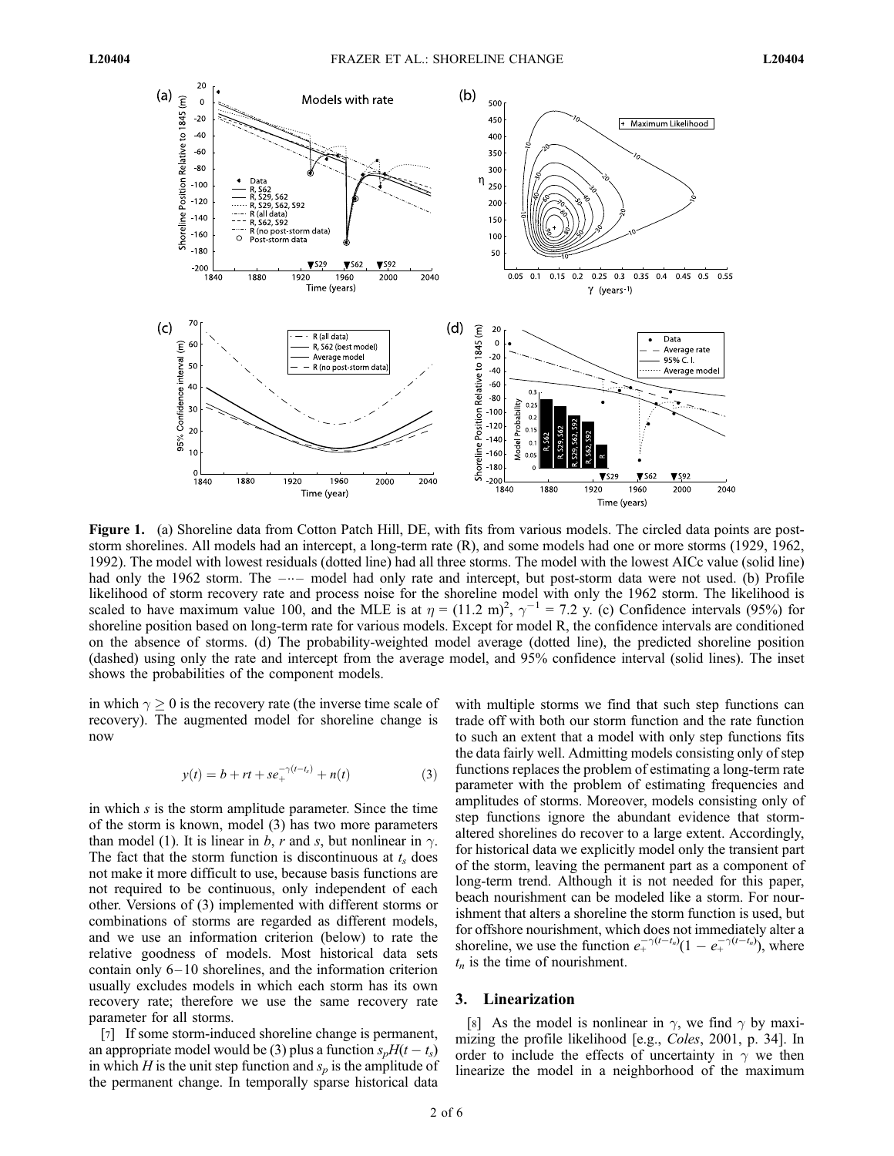

Figure 1. (a) Shoreline data from Cotton Patch Hill, DE, with fits from various models. The circled data points are poststorm shorelines. All models had an intercept, a long-term rate (R), and some models had one or more storms (1929, 1962, 1992). The model with lowest residuals (dotted line) had all three storms. The model with the lowest AICc value (solid line) had only the 1962 storm. The  $-\cdots$  model had only rate and intercept, but post-storm data were not used. (b) Profile likelihood of storm recovery rate and process noise for the shoreline model with only the 1962 storm. The likelihood is scaled to have maximum value 100, and the MLE is at  $\eta = (11.2 \text{ m})^2$ ,  $\gamma^{-1} = 7.2 \text{ y}$ . (c) Confidence intervals (95%) for shoreline position based on long-term rate for various models. Except for model R, the confidence intervals are conditioned on the absence of storms. (d) The probability-weighted model average (dotted line), the predicted shoreline position (dashed) using only the rate and intercept from the average model, and 95% confidence interval (solid lines). The inset shows the probabilities of the component models.

in which  $\gamma \geq 0$  is the recovery rate (the inverse time scale of recovery). The augmented model for shoreline change is now

$$
y(t) = b + rt + se^{-(t-t_s)}_{+} + n(t)
$$
 (3)

in which  $s$  is the storm amplitude parameter. Since the time of the storm is known, model (3) has two more parameters than model (1). It is linear in b, r and s, but nonlinear in  $\gamma$ . The fact that the storm function is discontinuous at  $t_s$  does not make it more difficult to use, because basis functions are not required to be continuous, only independent of each other. Versions of (3) implemented with different storms or combinations of storms are regarded as different models, and we use an information criterion (below) to rate the relative goodness of models. Most historical data sets contain only 6– 10 shorelines, and the information criterion usually excludes models in which each storm has its own recovery rate; therefore we use the same recovery rate parameter for all storms.

[7] If some storm-induced shoreline change is permanent, an appropriate model would be (3) plus a function  $s_pH(t-t_s)$ in which H is the unit step function and  $s_p$  is the amplitude of the permanent change. In temporally sparse historical data

with multiple storms we find that such step functions can trade off with both our storm function and the rate function to such an extent that a model with only step functions fits the data fairly well. Admitting models consisting only of step functions replaces the problem of estimating a long-term rate parameter with the problem of estimating frequencies and amplitudes of storms. Moreover, models consisting only of step functions ignore the abundant evidence that stormaltered shorelines do recover to a large extent. Accordingly, for historical data we explicitly model only the transient part of the storm, leaving the permanent part as a component of long-term trend. Although it is not needed for this paper, beach nourishment can be modeled like a storm. For nourishment that alters a shoreline the storm function is used, but for offshore nourishment, which does not immediately alter a shoreline, we use the function  $e_{+}^{-\gamma(t-t_n)}(1-e_{+}^{-\gamma(t-t_n)})$ , where  $t_n$  is the time of nourishment.

# 3. Linearization

[8] As the model is nonlinear in  $\gamma$ , we find  $\gamma$  by maximizing the profile likelihood [e.g., Coles, 2001, p. 34]. In order to include the effects of uncertainty in  $\gamma$  we then linearize the model in a neighborhood of the maximum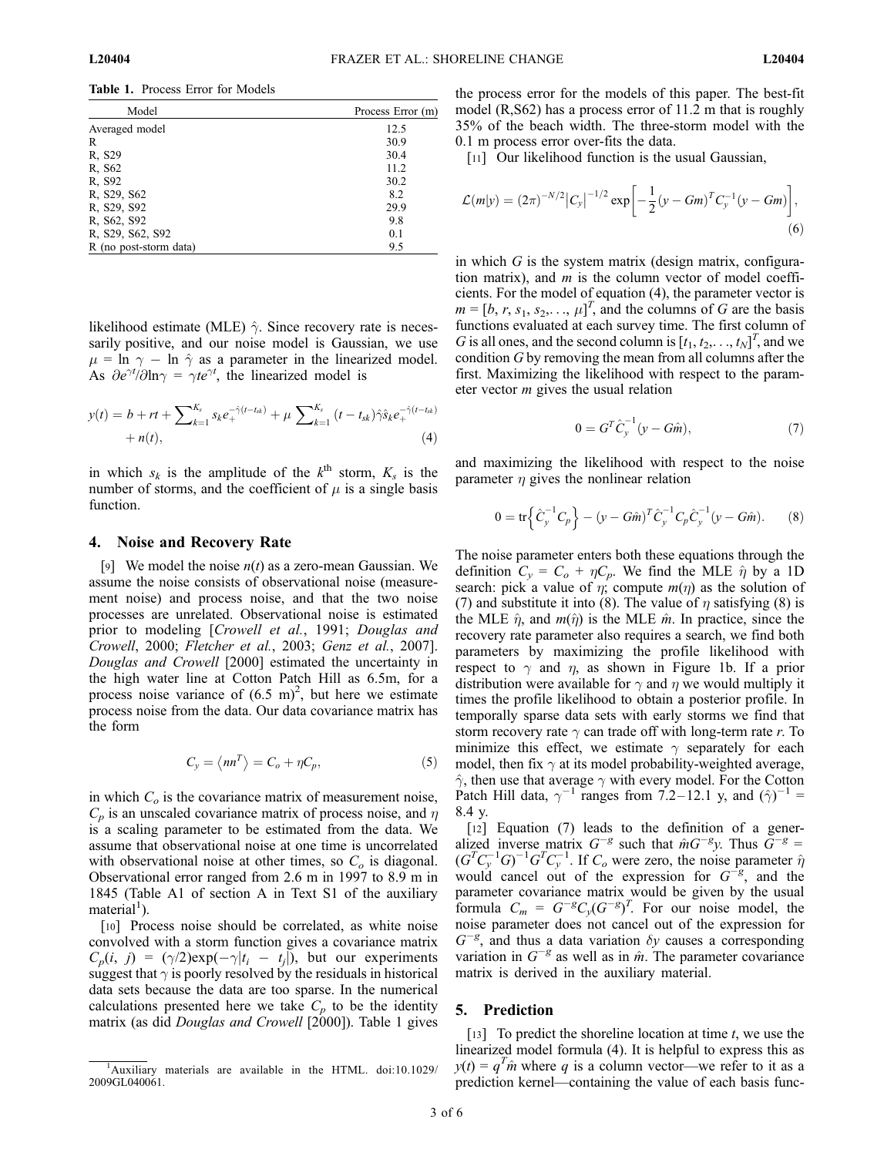Table 1. Process Error for Models

| Model                  | Process Error (m) |
|------------------------|-------------------|
| Averaged model         | 12.5              |
| R                      | 30.9              |
| R, S29                 | 30.4              |
| R. S62                 | 11.2              |
| R, S92                 | 30.2              |
| R. S29, S62            | 8.2               |
| R, S29, S92            | 29.9              |
| R, S62, S92            | 9.8               |
| R, S29, S62, S92       | 0.1               |
| R (no post-storm data) | 9.5               |

likelihood estimate (MLE)  $\hat{\gamma}$ . Since recovery rate is necessarily positive, and our noise model is Gaussian, we use  $\mu = \ln \gamma - \ln \hat{\gamma}$  as a parameter in the linearized model. As  $\partial e^{\gamma t}/\partial \ln \gamma = \gamma t e^{\gamma t}$ , the linearized model is

$$
y(t) = b + rt + \sum_{k=1}^{K_s} s_k e_+^{-\hat{\gamma}(t-t_{sk})} + \mu \sum_{k=1}^{K_s} (t - t_{sk}) \hat{\gamma} \hat{s}_k e_+^{-\hat{\gamma}(t-t_{sk})} + n(t),
$$
\n(4)

in which  $s_k$  is the amplitude of the  $k^{\text{th}}$  storm,  $K_s$  is the number of storms, and the coefficient of  $\mu$  is a single basis function.

## 4. Noise and Recovery Rate

[9] We model the noise  $n(t)$  as a zero-mean Gaussian. We assume the noise consists of observational noise (measurement noise) and process noise, and that the two noise processes are unrelated. Observational noise is estimated prior to modeling [Crowell et al., 1991; Douglas and Crowell, 2000; Fletcher et al., 2003; Genz et al., 2007]. Douglas and Crowell [2000] estimated the uncertainty in the high water line at Cotton Patch Hill as 6.5m, for a process noise variance of  $(6.5 \text{ m})^2$ , but here we estimate process noise from the data. Our data covariance matrix has the form

$$
C_{y} = \langle nn^{T} \rangle = C_{o} + \eta C_{p}, \qquad (5)
$$

in which  $C<sub>o</sub>$  is the covariance matrix of measurement noise,  $C_p$  is an unscaled covariance matrix of process noise, and  $\eta$ is a scaling parameter to be estimated from the data. We assume that observational noise at one time is uncorrelated with observational noise at other times, so  $C<sub>o</sub>$  is diagonal. Observational error ranged from 2.6 m in 1997 to 8.9 m in 1845 (Table A1 of section A in Text S1 of the auxiliary material<sup>1</sup>).

[10] Process noise should be correlated, as white noise convolved with a storm function gives a covariance matrix  $C_p(i, j) = (\gamma/2) \exp(-\gamma |t_i - t_j|),$  but our experiments suggest that  $\gamma$  is poorly resolved by the residuals in historical data sets because the data are too sparse. In the numerical calculations presented here we take  $C_p$  to be the identity matrix (as did *Douglas and Crowell* [2000]). Table 1 gives the process error for the models of this paper. The best-fit model (R,S62) has a process error of 11.2 m that is roughly 35% of the beach width. The three-storm model with the 0.1 m process error over-fits the data.

[11] Our likelihood function is the usual Gaussian,

$$
\mathcal{L}(m|y) = (2\pi)^{-N/2} |C_y|^{-1/2} \exp\left[-\frac{1}{2}(y - Gm)^T C_y^{-1}(y - Gm)\right],\tag{6}
$$

in which  $G$  is the system matrix (design matrix, configuration matrix), and  $m$  is the column vector of model coefficients. For the model of equation (4), the parameter vector is  $m = [b, r, s_1, s_2, \dots, \mu]^T$ , and the columns of G are the basis functions evaluated at each survey time. The first column of G is all ones, and the second column is  $[t_1, t_2, \ldots, t_N]^T$ , and we condition G by removing the mean from all columns after the first. Maximizing the likelihood with respect to the parameter vector  $m$  gives the usual relation

$$
0 = G^T \hat{C}_y^{-1} (y - G\hat{m}), \tag{7}
$$

and maximizing the likelihood with respect to the noise parameter  $\eta$  gives the nonlinear relation

$$
0 = \text{tr}\left\{\hat{C}_y^{-1} C_p\right\} - (y - G\hat{m})^T \hat{C}_y^{-1} C_p \hat{C}_y^{-1} (y - G\hat{m}).\tag{8}
$$

The noise parameter enters both these equations through the definition  $C_v = C_o + \eta C_p$ . We find the MLE  $\hat{\eta}$  by a 1D search: pick a value of  $\eta$ ; compute  $m(\eta)$  as the solution of (7) and substitute it into (8). The value of  $\eta$  satisfying (8) is the MLE  $\hat{\eta}$ , and  $m(\hat{\eta})$  is the MLE  $\hat{m}$ . In practice, since the recovery rate parameter also requires a search, we find both parameters by maximizing the profile likelihood with respect to  $\gamma$  and  $\eta$ , as shown in Figure 1b. If a prior distribution were available for  $\gamma$  and  $\eta$  we would multiply it times the profile likelihood to obtain a posterior profile. In temporally sparse data sets with early storms we find that storm recovery rate  $\gamma$  can trade off with long-term rate r. To minimize this effect, we estimate  $\gamma$  separately for each model, then fix  $\gamma$  at its model probability-weighted average,  $\hat{\gamma}$ , then use that average  $\gamma$  with every model. For the Cotton Patch Hill data,  $\gamma^{-1}$  ranges from 7.2–12.1 y, and  $(\hat{\gamma})^{-1}$  = 8.4 y.

[12] Equation (7) leads to the definition of a generalized inverse matrix  $G^{-g}$  such that  $\hat{m}G^{-g}y$ . Thus  $G^{-g}$  =  $(G^{T}C_{y}^{-1}G)^{-1}G^{T}C_{y}^{-1}$ . If  $C_{o}$  were zero, the noise parameter  $\hat{\eta}$ would cancel out of the expression for  $G^{-g}$ , and the parameter covariance matrix would be given by the usual formula  $C_m = G^{-g} C_y (G^{-g})^T$ . For our noise model, the noise parameter does not cancel out of the expression for  $G^{-g}$ , and thus a data variation  $\delta y$  causes a corresponding variation in  $G^{-g}$  as well as in  $\hat{m}$ . The parameter covariance matrix is derived in the auxiliary material.

# 5. Prediction

[13] To predict the shoreline location at time  $t$ , we use the linearized model formula (4). It is helpful to express this as  $y(t) = q^T \hat{m}$  where q is a column vector—we refer to it as a prediction kernel—containing the value of each basis func-

<sup>&</sup>lt;sup>1</sup>Auxiliary materials are available in the HTML. doi:10.1029/ 2009GL040061.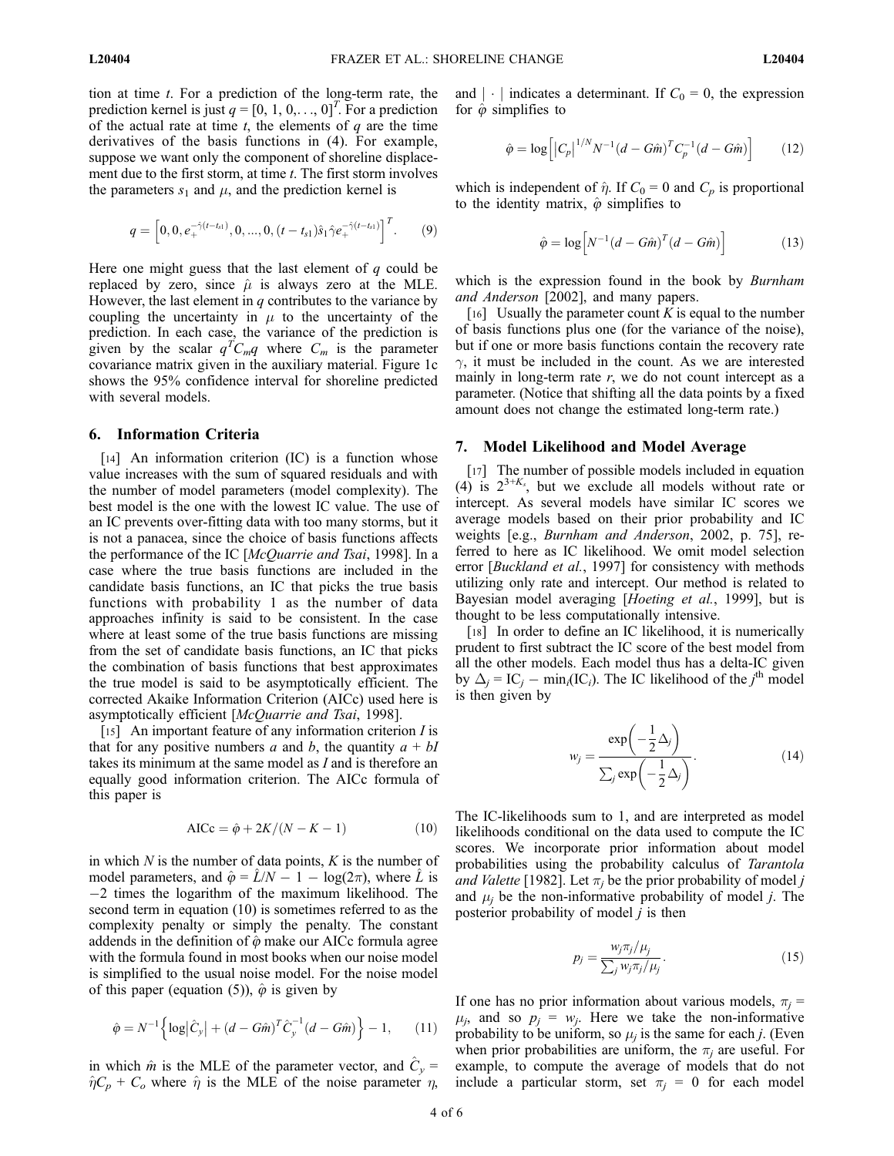tion at time t. For a prediction of the long-term rate, the prediction kernel is just  $q = [0, 1, 0, \ldots, 0]^T$ . For a prediction of the actual rate at time  $t$ , the elements of  $q$  are the time derivatives of the basis functions in (4). For example, suppose we want only the component of shoreline displacement due to the first storm, at time  $t$ . The first storm involves the parameters  $s_1$  and  $\mu$ , and the prediction kernel is

$$
q = \left[0, 0, e_{+}^{-\hat{\gamma}(t-t_{s1})}, 0, ..., 0, (t-t_{s1})\hat{s}_{1}\hat{\gamma}e_{+}^{-\hat{\gamma}(t-t_{s1})}\right]^{T}.
$$
 (9)

Here one might guess that the last element of  $q$  could be replaced by zero, since  $\hat{\mu}$  is always zero at the MLE. However, the last element in  $q$  contributes to the variance by coupling the uncertainty in  $\mu$  to the uncertainty of the prediction. In each case, the variance of the prediction is given by the scalar  $q^T C_m q$  where  $C_m$  is the parameter covariance matrix given in the auxiliary material. Figure 1c shows the 95% confidence interval for shoreline predicted with several models.

### 6. Information Criteria

[14] An information criterion (IC) is a function whose value increases with the sum of squared residuals and with the number of model parameters (model complexity). The best model is the one with the lowest IC value. The use of an IC prevents over-fitting data with too many storms, but it is not a panacea, since the choice of basis functions affects the performance of the IC [McQuarrie and Tsai, 1998]. In a case where the true basis functions are included in the candidate basis functions, an IC that picks the true basis functions with probability 1 as the number of data approaches infinity is said to be consistent. In the case where at least some of the true basis functions are missing from the set of candidate basis functions, an IC that picks the combination of basis functions that best approximates the true model is said to be asymptotically efficient. The corrected Akaike Information Criterion (AICc) used here is asymptotically efficient [McQuarrie and Tsai, 1998].

[15] An important feature of any information criterion *I* is that for any positive numbers a and b, the quantity  $a + bI$ takes its minimum at the same model as I and is therefore an equally good information criterion. The AICc formula of this paper is

$$
AICc = \hat{\varphi} + 2K/(N - K - 1) \tag{10}
$$

in which  $N$  is the number of data points,  $K$  is the number of model parameters, and  $\hat{\varphi} = \hat{L}/N - 1 - \log(2\pi)$ , where  $\hat{L}$  is -2 times the logarithm of the maximum likelihood. The second term in equation (10) is sometimes referred to as the complexity penalty or simply the penalty. The constant addends in the definition of  $\hat{\varphi}$  make our AICc formula agree with the formula found in most books when our noise model is simplified to the usual noise model. For the noise model of this paper (equation (5)),  $\hat{\varphi}$  is given by

$$
\hat{\varphi} = N^{-1} \left\{ \log \left| \hat{C}_y \right| + (d - G\hat{m})^T \hat{C}_y^{-1} (d - G\hat{m}) \right\} - 1, \qquad (11)
$$

in which  $\hat{m}$  is the MLE of the parameter vector, and  $\hat{C}_v$  =  $\hat{\eta}C_p + C_o$  where  $\hat{\eta}$  is the MLE of the noise parameter  $\eta$ , and  $|\cdot|$  indicates a determinant. If  $C_0 = 0$ , the expression for  $\hat{\varphi}$  simplifies to

$$
\hat{\varphi} = \log \left[ \left| C_p \right|^{1/N} N^{-1} (d - G\hat{m})^T C_p^{-1} (d - G\hat{m}) \right] \tag{12}
$$

which is independent of  $\hat{\eta}$ . If  $C_0 = 0$  and  $C_p$  is proportional to the identity matrix,  $\hat{\varphi}$  simplifies to

$$
\hat{\varphi} = \log \left[ N^{-1} (d - G\hat{m})^T (d - G\hat{m}) \right]
$$
 (13)

which is the expression found in the book by Burnham and Anderson [2002], and many papers.

[16] Usually the parameter count  $K$  is equal to the number of basis functions plus one (for the variance of the noise), but if one or more basis functions contain the recovery rate  $\gamma$ , it must be included in the count. As we are interested mainly in long-term rate  $r$ , we do not count intercept as a parameter. (Notice that shifting all the data points by a fixed amount does not change the estimated long-term rate.)

# 7. Model Likelihood and Model Average

[17] The number of possible models included in equation (4) is  $2^{3+K_s}$ , but we exclude all models without rate or intercept. As several models have similar IC scores we average models based on their prior probability and IC weights [e.g., Burnham and Anderson, 2002, p. 75], referred to here as IC likelihood. We omit model selection error [Buckland et al., 1997] for consistency with methods utilizing only rate and intercept. Our method is related to Bayesian model averaging [Hoeting et al., 1999], but is thought to be less computationally intensive.

[18] In order to define an IC likelihood, it is numerically prudent to first subtract the IC score of the best model from all the other models. Each model thus has a delta-IC given by  $\Delta_j = IC_j - \min_i (IC_i)$ . The IC likelihood of the  $j^{\text{th}}$  model is then given by

$$
w_j = \frac{\exp\left(-\frac{1}{2}\Delta_j\right)}{\sum_j \exp\left(-\frac{1}{2}\Delta_j\right)}.\tag{14}
$$

The IC-likelihoods sum to 1, and are interpreted as model likelihoods conditional on the data used to compute the IC scores. We incorporate prior information about model probabilities using the probability calculus of Tarantola and Valette [1982]. Let  $\pi_i$  be the prior probability of model j and  $\mu_i$  be the non-informative probability of model *j*. The posterior probability of model  $j$  is then

$$
p_j = \frac{w_j \pi_j / \mu_j}{\sum_j w_j \pi_j / \mu_j}.
$$
\n(15)

If one has no prior information about various models,  $\pi_i$  =  $\mu_i$ , and so  $p_i = w_i$ . Here we take the non-informative probability to be uniform, so  $\mu_i$  is the same for each j. (Even when prior probabilities are uniform, the  $\pi_i$  are useful. For example, to compute the average of models that do not include a particular storm, set  $\pi_i = 0$  for each model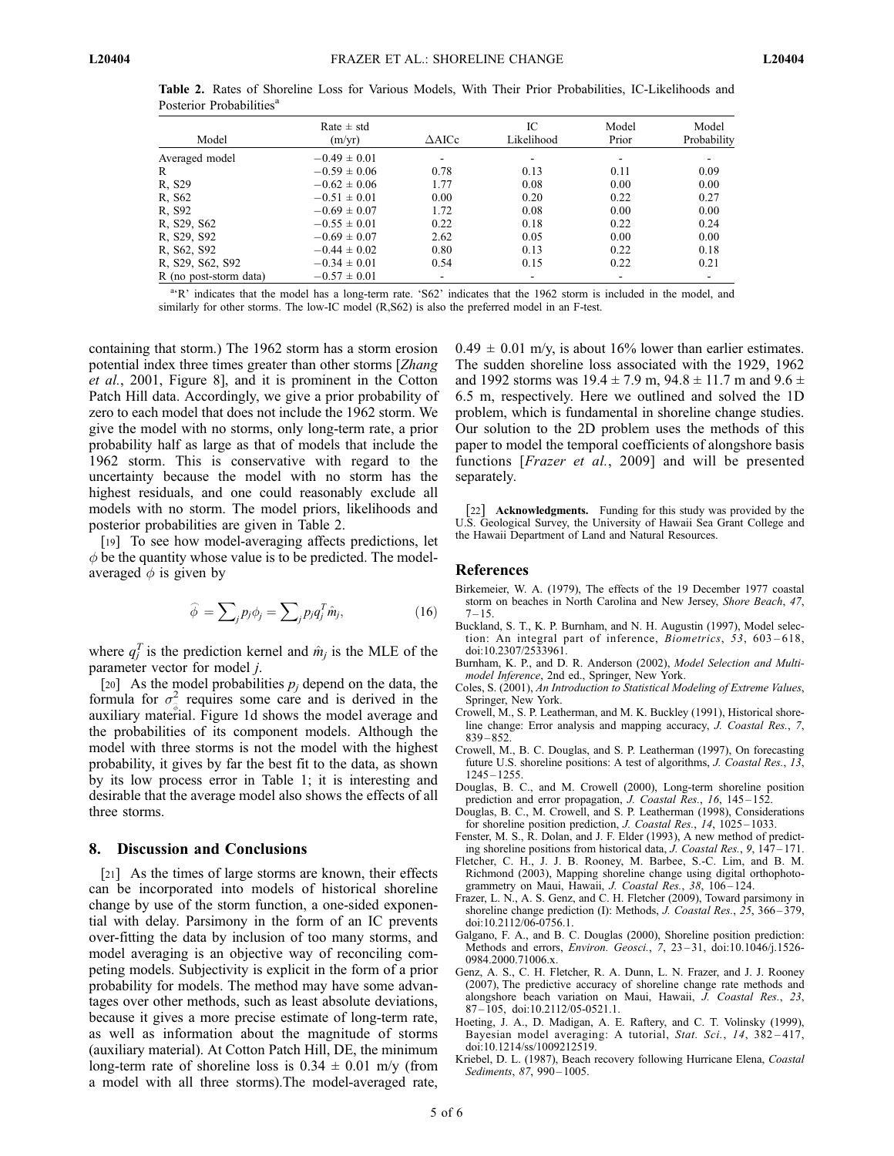| Model                  | $Rate \pm std$<br>(m/yr) | $\triangle$ AICc         | IC<br>Likelihood | Model<br>Prior | Model<br>Probability |
|------------------------|--------------------------|--------------------------|------------------|----------------|----------------------|
| Averaged model         | $-0.49 \pm 0.01$         | $\overline{\phantom{a}}$ |                  |                |                      |
| R                      | $-0.59 \pm 0.06$         | 0.78                     | 0.13             | 0.11           | 0.09                 |
| R. S29                 | $-0.62 \pm 0.06$         | 1.77                     | 0.08             | 0.00           | 0.00                 |
| R. S62                 | $-0.51 \pm 0.01$         | 0.00                     | 0.20             | 0.22           | 0.27                 |
| R. S92                 | $-0.69 \pm 0.07$         | 1.72                     | 0.08             | 0.00           | 0.00                 |
| R, S29, S62            | $-0.55 \pm 0.01$         | 0.22                     | 0.18             | 0.22           | 0.24                 |
| R, S29, S92            | $-0.69 \pm 0.07$         | 2.62                     | 0.05             | 0.00           | 0.00                 |
| R, S62, S92            | $-0.44 \pm 0.02$         | 0.80                     | 0.13             | 0.22           | 0.18                 |
| R, S29, S62, S92       | $-0.34 \pm 0.01$         | 0.54                     | 0.15             | 0.22           | 0.21                 |
| R (no post-storm data) | $-0.57 \pm 0.01$         | $\overline{\phantom{a}}$ |                  |                |                      |

Table 2. Rates of Shoreline Loss for Various Models, With Their Prior Probabilities, IC-Likelihoods and Posterior Probabilities<sup>a</sup>

<sup>a</sup>K' indicates that the model has a long-term rate. 'S62' indicates that the 1962 storm is included in the model, and similarly for other storms. The low-IC model (R,S62) is also the preferred model in an F-test.

containing that storm.) The 1962 storm has a storm erosion potential index three times greater than other storms [Zhang et al., 2001, Figure 8], and it is prominent in the Cotton Patch Hill data. Accordingly, we give a prior probability of zero to each model that does not include the 1962 storm. We give the model with no storms, only long-term rate, a prior probability half as large as that of models that include the 1962 storm. This is conservative with regard to the uncertainty because the model with no storm has the highest residuals, and one could reasonably exclude all models with no storm. The model priors, likelihoods and posterior probabilities are given in Table 2.

[19] To see how model-averaging affects predictions, let  $\phi$  be the quantity whose value is to be predicted. The modelaveraged  $\phi$  is given by

$$
\widehat{\phi} = \sum_{j} p_j \phi_j = \sum_{j} p_j q_j^T \hat{m}_j, \qquad (16)
$$

where  $q_j^T$  is the prediction kernel and  $\hat{m}_j$  is the MLE of the parameter vector for model j.

[20] As the model probabilities  $p_i$  depend on the data, the formula for  $\sigma^2$  requires some care and is derived in the auxiliary material. Figure 1d shows the model average and the probabilities of its component models. Although the model with three storms is not the model with the highest probability, it gives by far the best fit to the data, as shown by its low process error in Table 1; it is interesting and desirable that the average model also shows the effects of all three storms.

### 8. Discussion and Conclusions

[21] As the times of large storms are known, their effects can be incorporated into models of historical shoreline change by use of the storm function, a one-sided exponential with delay. Parsimony in the form of an IC prevents over-fitting the data by inclusion of too many storms, and model averaging is an objective way of reconciling competing models. Subjectivity is explicit in the form of a prior probability for models. The method may have some advantages over other methods, such as least absolute deviations, because it gives a more precise estimate of long-term rate, as well as information about the magnitude of storms (auxiliary material). At Cotton Patch Hill, DE, the minimum long-term rate of shoreline loss is  $0.34 \pm 0.01$  m/y (from a model with all three storms).The model-averaged rate,

 $0.49 \pm 0.01$  m/y, is about 16% lower than earlier estimates. The sudden shoreline loss associated with the 1929, 1962 and 1992 storms was  $19.4 \pm 7.9$  m,  $94.8 \pm 11.7$  m and  $9.6 \pm 1.7$ 6.5 m, respectively. Here we outlined and solved the 1D problem, which is fundamental in shoreline change studies. Our solution to the 2D problem uses the methods of this paper to model the temporal coefficients of alongshore basis functions [*Frazer et al.*, 2009] and will be presented separately.

[22] **Acknowledgments.** Funding for this study was provided by the U.S. Geological Survey, the University of Hawaii Sea Grant College and the Hawaii Department of Land and Natural Resources.

### References

- Birkemeier, W. A. (1979), The effects of the 19 December 1977 coastal storm on beaches in North Carolina and New Jersey, Shore Beach, 47,  $7 - 15.$
- Buckland, S. T., K. P. Burnham, and N. H. Augustin (1997), Model selection: An integral part of inference, Biometrics, 53, 603-618, doi:10.2307/2533961.
- Burnham, K. P., and D. R. Anderson (2002), Model Selection and Multimodel Inference, 2nd ed., Springer, New York.
- Coles, S. (2001), An Introduction to Statistical Modeling of Extreme Values, Springer, New York.
- Crowell, M., S. P. Leatherman, and M. K. Buckley (1991), Historical shoreline change: Error analysis and mapping accuracy, J. Coastal Res., 7,  $839 - 852$
- Crowell, M., B. C. Douglas, and S. P. Leatherman (1997), On forecasting future U.S. shoreline positions: A test of algorithms, J. Coastal Res., 13, 1245 – 1255.
- Douglas, B. C., and M. Crowell (2000), Long-term shoreline position prediction and error propagation, J. Coastal Res., 16, 145-152.
- Douglas, B. C., M. Crowell, and S. P. Leatherman (1998), Considerations for shoreline position prediction, J. Coastal Res., 14, 1025-1033.
- Fenster, M. S., R. Dolan, and J. F. Elder (1993), A new method of predicting shoreline positions from historical data, J. Coastal Res., 9, 147 – 171.
- Fletcher, C. H., J. J. B. Rooney, M. Barbee, S.-C. Lim, and B. M. Richmond (2003), Mapping shoreline change using digital orthophotogrammetry on Maui, Hawaii, J. Coastal Res., 38, 106-124.
- Frazer, L. N., A. S. Genz, and C. H. Fletcher (2009), Toward parsimony in shoreline change prediction (I): Methods, J. Coastal Res., 25, 366-379, doi:10.2112/06-0756.1.
- Galgano, F. A., and B. C. Douglas (2000), Shoreline position prediction: Methods and errors, *Environ. Geosci.*, 7, 23-31, doi:10.1046/j.1526-0984.2000.71006.x.
- Genz, A. S., C. H. Fletcher, R. A. Dunn, L. N. Frazer, and J. J. Rooney (2007), The predictive accuracy of shoreline change rate methods and alongshore beach variation on Maui, Hawaii, J. Coastal Res., 23, 87 – 105, doi:10.2112/05-0521.1.
- Hoeting, J. A., D. Madigan, A. E. Raftery, and C. T. Volinsky (1999), Bayesian model averaging: A tutorial, Stat. Sci., 14, 382-417, doi:10.1214/ss/1009212519.
- Kriebel, D. L. (1987), Beach recovery following Hurricane Elena, Coastal Sediments, 87, 990-1005.